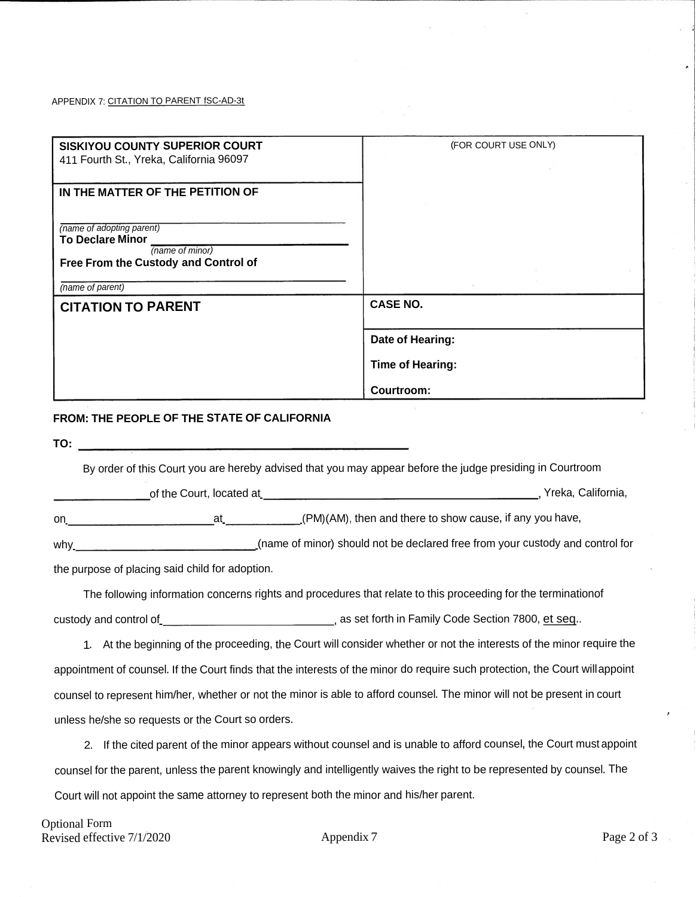## APPENDIX 7: CITATION TO PARENT fSC-AD-3t

| <b>SISKIYOU COUNTY SUPERIOR COURT</b><br>411 Fourth St., Yreka, California 96097                            | (FOR COURT USE ONLY) |  |
|-------------------------------------------------------------------------------------------------------------|----------------------|--|
| IN THE MATTER OF THE PETITION OF<br>(name of adopting parent)<br><b>To Declare Minor</b><br>(name of minor) |                      |  |
| Free From the Custody and Control of<br>(name of parent)                                                    |                      |  |
| <b>CITATION TO PARENT</b>                                                                                   | <b>CASE NO.</b>      |  |
|                                                                                                             | Date of Hearing:     |  |
|                                                                                                             | Time of Hearing:     |  |
|                                                                                                             | Courtroom:           |  |

## **FROM: THE PEOPLE OF THE STATE OF CALIFORNIA**

**TO:**

By order of this Court you are hereby advised that you may appear before the judge presiding in Courtroom

| of the Court, located at | Yreka, California, |
|--------------------------|--------------------|
|                          |                    |

at . (PM)(AM), then and there to show cause, if any you have, on. .

why . (name of minor) should not be declared free from your custody and control for .

the purpose of placing said child for adoption.

The following information concerns rights and procedures that relate to this proceeding for the terminationof custody and control of. as set forth in Family Code Section 7800, et seq..

1. At the beginning of the proceeding, the Court will consider whether or not the interests of the minor require the appointment of counsel. If the Court finds that the interests of the minor do require such protection, the Court willappoint counsel to represent him/her, whether or not the minor is able to afford counsel. The minor will not be present in court unless he/she so requests or the Court so orders.

2. If the cited parent of the minor appears without counsel and is unable to afford counsel, the Court must appoint counsel for the parent, unless the parent knowingly and intelligently waives the right to be represented by counsel. The Court will not appoint the same attorney to represent both the minor and his/her parent.